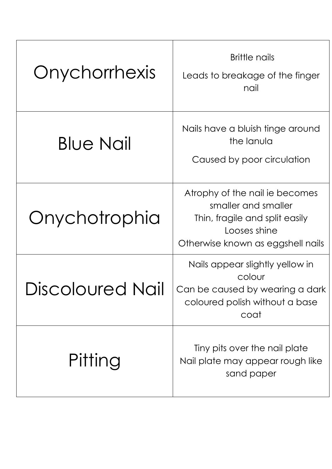| Onychorrhexis    | <b>Brittle nails</b><br>Leads to breakage of the finger<br>nail                                                                              |
|------------------|----------------------------------------------------------------------------------------------------------------------------------------------|
| <b>Blue Nail</b> | Nails have a bluish tinge around<br>the lanula<br>Caused by poor circulation                                                                 |
| Onychotrophia    | Atrophy of the nail ie becomes<br>smaller and smaller<br>Thin, fragile and split easily<br>Looses shine<br>Otherwise known as eggshell nails |
| Discoloured Nail | Nails appear slightly yellow in<br>colour<br>Can be caused by wearing a dark<br>coloured polish without a base<br>coat                       |
| Pitting          | Tiny pits over the nail plate<br>Nail plate may appear rough like<br>sand paper                                                              |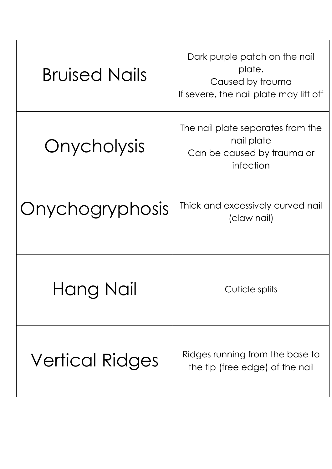| <b>Bruised Nails</b>   | Dark purple patch on the nail<br>plate.<br>Caused by trauma<br>If severe, the nail plate may lift off |
|------------------------|-------------------------------------------------------------------------------------------------------|
| Onycholysis            | The nail plate separates from the<br>nail plate<br>Can be caused by trauma or<br>infection            |
| Onychogryphosis        | Thick and excessively curved nail<br>(claw nail)                                                      |
| Hang Nail              | Cuticle splits                                                                                        |
| <b>Vertical Ridges</b> | Ridges running from the base to<br>the tip (free edge) of the nail                                    |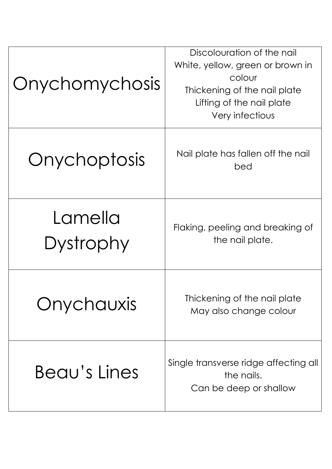| Onychomychosis       | Discolouration of the nail<br>White, yellow, green or brown in<br>colour<br>Thickening of the nail plate<br>Lifting of the nail plate<br>Very infectious |
|----------------------|----------------------------------------------------------------------------------------------------------------------------------------------------------|
| Onychoptosis         | Nail plate has fallen off the nail<br>bed                                                                                                                |
| Lamella<br>Dystrophy | Flaking, peeling and breaking of<br>the nail plate.                                                                                                      |
| Onychauxis           | Thickening of the nail plate<br>May also change colour                                                                                                   |
| Beau's Lines         | Single transverse ridge affecting all<br>the nails.<br>Can be deep or shallow                                                                            |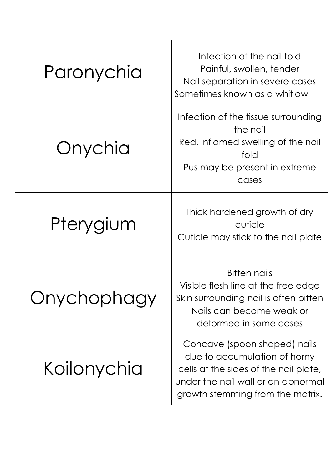| Paronychia  | Infection of the nail fold<br>Painful, swollen, tender<br>Nail separation in severe cases<br>Sometimes known as a whitlow                                                       |
|-------------|---------------------------------------------------------------------------------------------------------------------------------------------------------------------------------|
| Onychia     | Infection of the tissue surrounding<br>the nail<br>Red, inflamed swelling of the nail<br>fold<br>Pus may be present in extreme<br>cases                                         |
| Pterygium   | Thick hardened growth of dry<br>cuticle<br>Cuticle may stick to the nail plate                                                                                                  |
| Onychophagy | <b>Bitten nails</b><br>Visible flesh line at the free edge<br>Skin surrounding nail is often bitten<br>Nails can become weak or<br>deformed in some cases                       |
| Koilonychia | Concave (spoon shaped) nails<br>due to accumulation of horny<br>cells at the sides of the nail plate,<br>under the nail wall or an abnormal<br>growth stemming from the matrix. |